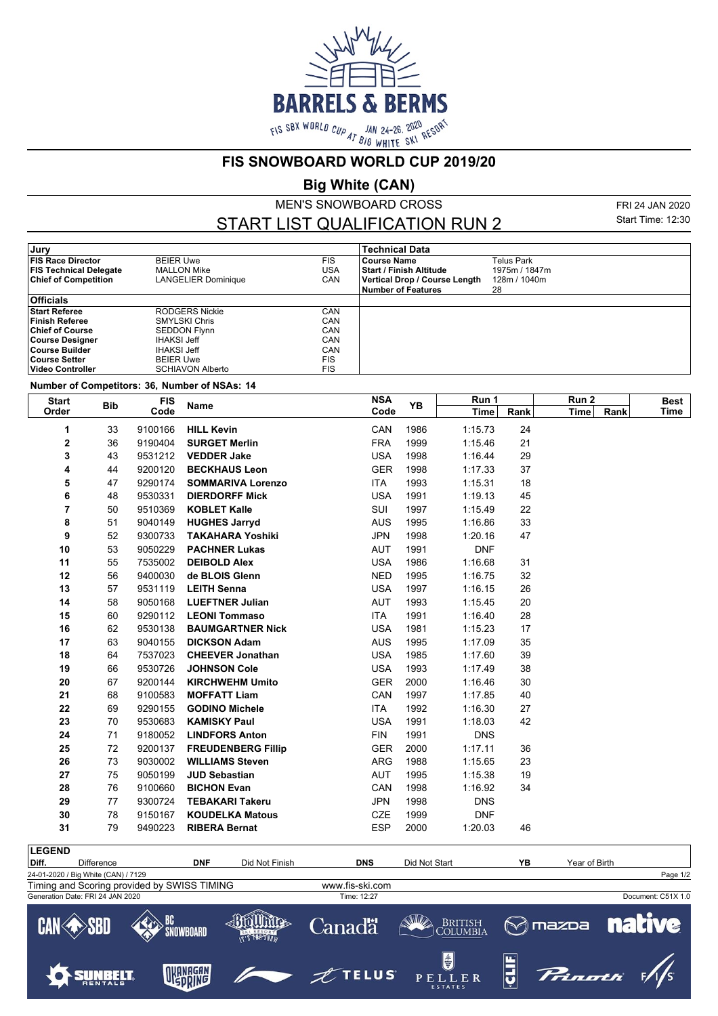

**FIS SNOWBOARD WORLD CUP 2019/20**

**Big White (CAN)**

MEN'S SNOWBOARD CROSS

START LIST QUALIFICATION RUN 2

FRI 24 JAN 2020 Start Time: 12:30

| Jury                          |                            |     | <b>Technical Data</b>          |               |
|-------------------------------|----------------------------|-----|--------------------------------|---------------|
| <b>FIS Race Director</b>      | <b>BEIER Uwe</b>           | FIS | <b>Course Name</b>             | Telus Park    |
| <b>FIS Technical Delegate</b> | MALLON Mike                | USA | <b>Start / Finish Altitude</b> | 1975m / 1847m |
| <b>Chief of Competition</b>   | <b>LANGELIER Dominique</b> | CAN | Vertical Drop / Course Length  | 128m / 1040m  |
|                               |                            |     | Number of Features             | 28            |
| <b>Officials</b>              |                            |     |                                |               |
| <b>Start Referee</b>          | RODGERS Nickie             | CAN |                                |               |
| <b>Finish Referee</b>         | <b>SMYLSKI Chris</b>       | CAN |                                |               |
| <b>Chief of Course</b>        | <b>SEDDON Flynn</b>        | CAN |                                |               |
| Course Designer               | <b>IHAKSI Jeff</b>         | CAN |                                |               |
| ∣Course Builder               | <b>IHAKSI Jeff</b>         | CAN |                                |               |
| ∣Course Setter                | <b>BEIER Uwe</b>           | FIS |                                |               |
| ∣Video Controller             | <b>SCHIAVON Alberto</b>    | FIS |                                |               |

**Number of Competitors: 36, Number of NSAs: 14**

| Code<br>Code<br>Rank<br>Rank<br><b>Time</b><br><b>Time</b><br><b>HILL Kevin</b><br>CAN<br>1986<br>24<br>9100166<br>1:15.73<br>33<br>1<br>2<br><b>FRA</b><br>21<br>36<br>9190404<br><b>SURGET Merlin</b><br>1999<br>1:15.46<br>3<br>29<br>43<br>9531212<br><b>VEDDER Jake</b><br><b>USA</b><br>1998<br>1:16.44<br>4<br>44<br>9200120<br><b>BECKHAUS Leon</b><br><b>GER</b><br>1998<br>1:17.33<br>37<br>5<br>9290174<br><b>SOMMARIVA Lorenzo</b><br><b>ITA</b><br>1993<br>1:15.31<br>18<br>47<br>6<br>45<br>48<br>9530331<br><b>DIERDORFF Mick</b><br><b>USA</b><br>1991<br>1:19.13<br>7<br><b>KOBLET Kalle</b><br>SUI<br>1997<br>22<br>50<br>9510369<br>1:15.49<br>8<br>33<br>51<br>9040149<br><b>HUGHES Jarryd</b><br><b>AUS</b><br>1995<br>1:16.86<br>9<br>52<br><b>TAKAHARA Yoshiki</b><br><b>JPN</b><br>1998<br>1:20.16<br>47<br>9300733<br>10<br>53<br>1991<br><b>DNF</b><br>9050229<br><b>PACHNER Lukas</b><br><b>AUT</b><br>11<br>55<br>31<br>7535002<br><b>DEIBOLD Alex</b><br><b>USA</b><br>1986<br>1:16.68<br>12<br>56<br>9400030<br>de BLOIS Glenn<br><b>NED</b><br>1995<br>1:16.75<br>32<br>13<br><b>LEITH Senna</b><br><b>USA</b><br>1997<br>1:16.15<br>26<br>57<br>9531119<br>14<br>20<br>58<br>9050168<br><b>LUEFTNER Julian</b><br>AUT<br>1993<br>1:15.45<br>15<br>60<br>9290112<br><b>LEONI Tommaso</b><br><b>ITA</b><br>1991<br>1:16.40<br>28<br>16<br>62<br><b>BAUMGARTNER Nick</b><br><b>USA</b><br>1981<br>17<br>9530138<br>1:15.23<br>17<br>63<br>35<br>9040155<br><b>DICKSON Adam</b><br><b>AUS</b><br>1995<br>1:17.09<br>18<br>39<br>64<br>7537023<br><b>CHEEVER Jonathan</b><br><b>USA</b><br>1985<br>1:17.60<br>38<br>19<br>66<br>9530726<br><b>JOHNSON Cole</b><br><b>USA</b><br>1993<br>1:17.49<br>20<br>67<br>9200144<br><b>KIRCHWEHM Umito</b><br><b>GER</b><br>2000<br>1:16.46<br>30<br>21<br>68<br>9100583<br><b>MOFFATT Liam</b><br>CAN<br>1997<br>1:17.85<br>40<br>22<br><b>ITA</b><br>1992<br>1:16.30<br>69<br>9290155<br><b>GODINO Michele</b><br>27<br>42<br>23<br>70<br>9530683<br><b>KAMISKY Paul</b><br><b>USA</b><br>1991<br>1:18.03<br>24<br>71<br>9180052<br><b>LINDFORS Anton</b><br><b>FIN</b><br>1991<br><b>DNS</b><br>25<br>72<br><b>FREUDENBERG Fillip</b><br><b>GER</b><br>2000<br>1:17.11<br>36<br>9200137<br>26<br><b>ARG</b><br>1988<br>73<br>9030002<br><b>WILLIAMS Steven</b><br>1:15.65<br>23<br>27<br>75<br>9050199<br><b>JUD Sebastian</b><br><b>AUT</b><br>1995<br>19<br>1:15.38<br>28<br>76<br><b>BICHON Evan</b><br>CAN<br>1998<br>34<br>9100660<br>1:16.92<br>29<br><b>JPN</b><br>9300724<br><b>TEBAKARI Takeru</b><br>1998<br><b>DNS</b><br>77<br>30<br>78<br>9150167<br><b>KOUDELKA Matous</b><br><b>CZE</b><br>1999<br><b>DNF</b><br>31<br><b>RIBERA Bernat</b><br><b>ESP</b><br>79<br>9490223<br>2000<br>1:20.03<br>46 | <b>Start</b><br><b>Bib</b><br>Order |  | <b>FIS</b> | Name | <b>NSA</b> | YB | Run 1 |  | Run <sub>2</sub> | <b>Best</b> |
|----------------------------------------------------------------------------------------------------------------------------------------------------------------------------------------------------------------------------------------------------------------------------------------------------------------------------------------------------------------------------------------------------------------------------------------------------------------------------------------------------------------------------------------------------------------------------------------------------------------------------------------------------------------------------------------------------------------------------------------------------------------------------------------------------------------------------------------------------------------------------------------------------------------------------------------------------------------------------------------------------------------------------------------------------------------------------------------------------------------------------------------------------------------------------------------------------------------------------------------------------------------------------------------------------------------------------------------------------------------------------------------------------------------------------------------------------------------------------------------------------------------------------------------------------------------------------------------------------------------------------------------------------------------------------------------------------------------------------------------------------------------------------------------------------------------------------------------------------------------------------------------------------------------------------------------------------------------------------------------------------------------------------------------------------------------------------------------------------------------------------------------------------------------------------------------------------------------------------------------------------------------------------------------------------------------------------------------------------------------------------------------------------------------------------------------------------------------------------------------------------------------------------------------------------------------------------------------------------------------------------------------------------------------------------------------------------------------------------------------------------------------------------------------|-------------------------------------|--|------------|------|------------|----|-------|--|------------------|-------------|
|                                                                                                                                                                                                                                                                                                                                                                                                                                                                                                                                                                                                                                                                                                                                                                                                                                                                                                                                                                                                                                                                                                                                                                                                                                                                                                                                                                                                                                                                                                                                                                                                                                                                                                                                                                                                                                                                                                                                                                                                                                                                                                                                                                                                                                                                                                                                                                                                                                                                                                                                                                                                                                                                                                                                                                                        |                                     |  |            |      |            |    |       |  | Time             |             |
|                                                                                                                                                                                                                                                                                                                                                                                                                                                                                                                                                                                                                                                                                                                                                                                                                                                                                                                                                                                                                                                                                                                                                                                                                                                                                                                                                                                                                                                                                                                                                                                                                                                                                                                                                                                                                                                                                                                                                                                                                                                                                                                                                                                                                                                                                                                                                                                                                                                                                                                                                                                                                                                                                                                                                                                        |                                     |  |            |      |            |    |       |  |                  |             |
|                                                                                                                                                                                                                                                                                                                                                                                                                                                                                                                                                                                                                                                                                                                                                                                                                                                                                                                                                                                                                                                                                                                                                                                                                                                                                                                                                                                                                                                                                                                                                                                                                                                                                                                                                                                                                                                                                                                                                                                                                                                                                                                                                                                                                                                                                                                                                                                                                                                                                                                                                                                                                                                                                                                                                                                        |                                     |  |            |      |            |    |       |  |                  |             |
|                                                                                                                                                                                                                                                                                                                                                                                                                                                                                                                                                                                                                                                                                                                                                                                                                                                                                                                                                                                                                                                                                                                                                                                                                                                                                                                                                                                                                                                                                                                                                                                                                                                                                                                                                                                                                                                                                                                                                                                                                                                                                                                                                                                                                                                                                                                                                                                                                                                                                                                                                                                                                                                                                                                                                                                        |                                     |  |            |      |            |    |       |  |                  |             |
|                                                                                                                                                                                                                                                                                                                                                                                                                                                                                                                                                                                                                                                                                                                                                                                                                                                                                                                                                                                                                                                                                                                                                                                                                                                                                                                                                                                                                                                                                                                                                                                                                                                                                                                                                                                                                                                                                                                                                                                                                                                                                                                                                                                                                                                                                                                                                                                                                                                                                                                                                                                                                                                                                                                                                                                        |                                     |  |            |      |            |    |       |  |                  |             |
|                                                                                                                                                                                                                                                                                                                                                                                                                                                                                                                                                                                                                                                                                                                                                                                                                                                                                                                                                                                                                                                                                                                                                                                                                                                                                                                                                                                                                                                                                                                                                                                                                                                                                                                                                                                                                                                                                                                                                                                                                                                                                                                                                                                                                                                                                                                                                                                                                                                                                                                                                                                                                                                                                                                                                                                        |                                     |  |            |      |            |    |       |  |                  |             |
|                                                                                                                                                                                                                                                                                                                                                                                                                                                                                                                                                                                                                                                                                                                                                                                                                                                                                                                                                                                                                                                                                                                                                                                                                                                                                                                                                                                                                                                                                                                                                                                                                                                                                                                                                                                                                                                                                                                                                                                                                                                                                                                                                                                                                                                                                                                                                                                                                                                                                                                                                                                                                                                                                                                                                                                        |                                     |  |            |      |            |    |       |  |                  |             |
|                                                                                                                                                                                                                                                                                                                                                                                                                                                                                                                                                                                                                                                                                                                                                                                                                                                                                                                                                                                                                                                                                                                                                                                                                                                                                                                                                                                                                                                                                                                                                                                                                                                                                                                                                                                                                                                                                                                                                                                                                                                                                                                                                                                                                                                                                                                                                                                                                                                                                                                                                                                                                                                                                                                                                                                        |                                     |  |            |      |            |    |       |  |                  |             |
|                                                                                                                                                                                                                                                                                                                                                                                                                                                                                                                                                                                                                                                                                                                                                                                                                                                                                                                                                                                                                                                                                                                                                                                                                                                                                                                                                                                                                                                                                                                                                                                                                                                                                                                                                                                                                                                                                                                                                                                                                                                                                                                                                                                                                                                                                                                                                                                                                                                                                                                                                                                                                                                                                                                                                                                        |                                     |  |            |      |            |    |       |  |                  |             |
|                                                                                                                                                                                                                                                                                                                                                                                                                                                                                                                                                                                                                                                                                                                                                                                                                                                                                                                                                                                                                                                                                                                                                                                                                                                                                                                                                                                                                                                                                                                                                                                                                                                                                                                                                                                                                                                                                                                                                                                                                                                                                                                                                                                                                                                                                                                                                                                                                                                                                                                                                                                                                                                                                                                                                                                        |                                     |  |            |      |            |    |       |  |                  |             |
|                                                                                                                                                                                                                                                                                                                                                                                                                                                                                                                                                                                                                                                                                                                                                                                                                                                                                                                                                                                                                                                                                                                                                                                                                                                                                                                                                                                                                                                                                                                                                                                                                                                                                                                                                                                                                                                                                                                                                                                                                                                                                                                                                                                                                                                                                                                                                                                                                                                                                                                                                                                                                                                                                                                                                                                        |                                     |  |            |      |            |    |       |  |                  |             |
|                                                                                                                                                                                                                                                                                                                                                                                                                                                                                                                                                                                                                                                                                                                                                                                                                                                                                                                                                                                                                                                                                                                                                                                                                                                                                                                                                                                                                                                                                                                                                                                                                                                                                                                                                                                                                                                                                                                                                                                                                                                                                                                                                                                                                                                                                                                                                                                                                                                                                                                                                                                                                                                                                                                                                                                        |                                     |  |            |      |            |    |       |  |                  |             |
|                                                                                                                                                                                                                                                                                                                                                                                                                                                                                                                                                                                                                                                                                                                                                                                                                                                                                                                                                                                                                                                                                                                                                                                                                                                                                                                                                                                                                                                                                                                                                                                                                                                                                                                                                                                                                                                                                                                                                                                                                                                                                                                                                                                                                                                                                                                                                                                                                                                                                                                                                                                                                                                                                                                                                                                        |                                     |  |            |      |            |    |       |  |                  |             |
|                                                                                                                                                                                                                                                                                                                                                                                                                                                                                                                                                                                                                                                                                                                                                                                                                                                                                                                                                                                                                                                                                                                                                                                                                                                                                                                                                                                                                                                                                                                                                                                                                                                                                                                                                                                                                                                                                                                                                                                                                                                                                                                                                                                                                                                                                                                                                                                                                                                                                                                                                                                                                                                                                                                                                                                        |                                     |  |            |      |            |    |       |  |                  |             |
|                                                                                                                                                                                                                                                                                                                                                                                                                                                                                                                                                                                                                                                                                                                                                                                                                                                                                                                                                                                                                                                                                                                                                                                                                                                                                                                                                                                                                                                                                                                                                                                                                                                                                                                                                                                                                                                                                                                                                                                                                                                                                                                                                                                                                                                                                                                                                                                                                                                                                                                                                                                                                                                                                                                                                                                        |                                     |  |            |      |            |    |       |  |                  |             |
|                                                                                                                                                                                                                                                                                                                                                                                                                                                                                                                                                                                                                                                                                                                                                                                                                                                                                                                                                                                                                                                                                                                                                                                                                                                                                                                                                                                                                                                                                                                                                                                                                                                                                                                                                                                                                                                                                                                                                                                                                                                                                                                                                                                                                                                                                                                                                                                                                                                                                                                                                                                                                                                                                                                                                                                        |                                     |  |            |      |            |    |       |  |                  |             |
|                                                                                                                                                                                                                                                                                                                                                                                                                                                                                                                                                                                                                                                                                                                                                                                                                                                                                                                                                                                                                                                                                                                                                                                                                                                                                                                                                                                                                                                                                                                                                                                                                                                                                                                                                                                                                                                                                                                                                                                                                                                                                                                                                                                                                                                                                                                                                                                                                                                                                                                                                                                                                                                                                                                                                                                        |                                     |  |            |      |            |    |       |  |                  |             |
|                                                                                                                                                                                                                                                                                                                                                                                                                                                                                                                                                                                                                                                                                                                                                                                                                                                                                                                                                                                                                                                                                                                                                                                                                                                                                                                                                                                                                                                                                                                                                                                                                                                                                                                                                                                                                                                                                                                                                                                                                                                                                                                                                                                                                                                                                                                                                                                                                                                                                                                                                                                                                                                                                                                                                                                        |                                     |  |            |      |            |    |       |  |                  |             |
|                                                                                                                                                                                                                                                                                                                                                                                                                                                                                                                                                                                                                                                                                                                                                                                                                                                                                                                                                                                                                                                                                                                                                                                                                                                                                                                                                                                                                                                                                                                                                                                                                                                                                                                                                                                                                                                                                                                                                                                                                                                                                                                                                                                                                                                                                                                                                                                                                                                                                                                                                                                                                                                                                                                                                                                        |                                     |  |            |      |            |    |       |  |                  |             |
|                                                                                                                                                                                                                                                                                                                                                                                                                                                                                                                                                                                                                                                                                                                                                                                                                                                                                                                                                                                                                                                                                                                                                                                                                                                                                                                                                                                                                                                                                                                                                                                                                                                                                                                                                                                                                                                                                                                                                                                                                                                                                                                                                                                                                                                                                                                                                                                                                                                                                                                                                                                                                                                                                                                                                                                        |                                     |  |            |      |            |    |       |  |                  |             |
|                                                                                                                                                                                                                                                                                                                                                                                                                                                                                                                                                                                                                                                                                                                                                                                                                                                                                                                                                                                                                                                                                                                                                                                                                                                                                                                                                                                                                                                                                                                                                                                                                                                                                                                                                                                                                                                                                                                                                                                                                                                                                                                                                                                                                                                                                                                                                                                                                                                                                                                                                                                                                                                                                                                                                                                        |                                     |  |            |      |            |    |       |  |                  |             |
|                                                                                                                                                                                                                                                                                                                                                                                                                                                                                                                                                                                                                                                                                                                                                                                                                                                                                                                                                                                                                                                                                                                                                                                                                                                                                                                                                                                                                                                                                                                                                                                                                                                                                                                                                                                                                                                                                                                                                                                                                                                                                                                                                                                                                                                                                                                                                                                                                                                                                                                                                                                                                                                                                                                                                                                        |                                     |  |            |      |            |    |       |  |                  |             |
|                                                                                                                                                                                                                                                                                                                                                                                                                                                                                                                                                                                                                                                                                                                                                                                                                                                                                                                                                                                                                                                                                                                                                                                                                                                                                                                                                                                                                                                                                                                                                                                                                                                                                                                                                                                                                                                                                                                                                                                                                                                                                                                                                                                                                                                                                                                                                                                                                                                                                                                                                                                                                                                                                                                                                                                        |                                     |  |            |      |            |    |       |  |                  |             |
|                                                                                                                                                                                                                                                                                                                                                                                                                                                                                                                                                                                                                                                                                                                                                                                                                                                                                                                                                                                                                                                                                                                                                                                                                                                                                                                                                                                                                                                                                                                                                                                                                                                                                                                                                                                                                                                                                                                                                                                                                                                                                                                                                                                                                                                                                                                                                                                                                                                                                                                                                                                                                                                                                                                                                                                        |                                     |  |            |      |            |    |       |  |                  |             |
|                                                                                                                                                                                                                                                                                                                                                                                                                                                                                                                                                                                                                                                                                                                                                                                                                                                                                                                                                                                                                                                                                                                                                                                                                                                                                                                                                                                                                                                                                                                                                                                                                                                                                                                                                                                                                                                                                                                                                                                                                                                                                                                                                                                                                                                                                                                                                                                                                                                                                                                                                                                                                                                                                                                                                                                        |                                     |  |            |      |            |    |       |  |                  |             |
|                                                                                                                                                                                                                                                                                                                                                                                                                                                                                                                                                                                                                                                                                                                                                                                                                                                                                                                                                                                                                                                                                                                                                                                                                                                                                                                                                                                                                                                                                                                                                                                                                                                                                                                                                                                                                                                                                                                                                                                                                                                                                                                                                                                                                                                                                                                                                                                                                                                                                                                                                                                                                                                                                                                                                                                        |                                     |  |            |      |            |    |       |  |                  |             |
|                                                                                                                                                                                                                                                                                                                                                                                                                                                                                                                                                                                                                                                                                                                                                                                                                                                                                                                                                                                                                                                                                                                                                                                                                                                                                                                                                                                                                                                                                                                                                                                                                                                                                                                                                                                                                                                                                                                                                                                                                                                                                                                                                                                                                                                                                                                                                                                                                                                                                                                                                                                                                                                                                                                                                                                        |                                     |  |            |      |            |    |       |  |                  |             |
|                                                                                                                                                                                                                                                                                                                                                                                                                                                                                                                                                                                                                                                                                                                                                                                                                                                                                                                                                                                                                                                                                                                                                                                                                                                                                                                                                                                                                                                                                                                                                                                                                                                                                                                                                                                                                                                                                                                                                                                                                                                                                                                                                                                                                                                                                                                                                                                                                                                                                                                                                                                                                                                                                                                                                                                        |                                     |  |            |      |            |    |       |  |                  |             |
|                                                                                                                                                                                                                                                                                                                                                                                                                                                                                                                                                                                                                                                                                                                                                                                                                                                                                                                                                                                                                                                                                                                                                                                                                                                                                                                                                                                                                                                                                                                                                                                                                                                                                                                                                                                                                                                                                                                                                                                                                                                                                                                                                                                                                                                                                                                                                                                                                                                                                                                                                                                                                                                                                                                                                                                        |                                     |  |            |      |            |    |       |  |                  |             |
|                                                                                                                                                                                                                                                                                                                                                                                                                                                                                                                                                                                                                                                                                                                                                                                                                                                                                                                                                                                                                                                                                                                                                                                                                                                                                                                                                                                                                                                                                                                                                                                                                                                                                                                                                                                                                                                                                                                                                                                                                                                                                                                                                                                                                                                                                                                                                                                                                                                                                                                                                                                                                                                                                                                                                                                        |                                     |  |            |      |            |    |       |  |                  |             |
|                                                                                                                                                                                                                                                                                                                                                                                                                                                                                                                                                                                                                                                                                                                                                                                                                                                                                                                                                                                                                                                                                                                                                                                                                                                                                                                                                                                                                                                                                                                                                                                                                                                                                                                                                                                                                                                                                                                                                                                                                                                                                                                                                                                                                                                                                                                                                                                                                                                                                                                                                                                                                                                                                                                                                                                        |                                     |  |            |      |            |    |       |  |                  |             |
|                                                                                                                                                                                                                                                                                                                                                                                                                                                                                                                                                                                                                                                                                                                                                                                                                                                                                                                                                                                                                                                                                                                                                                                                                                                                                                                                                                                                                                                                                                                                                                                                                                                                                                                                                                                                                                                                                                                                                                                                                                                                                                                                                                                                                                                                                                                                                                                                                                                                                                                                                                                                                                                                                                                                                                                        |                                     |  |            |      |            |    |       |  |                  |             |